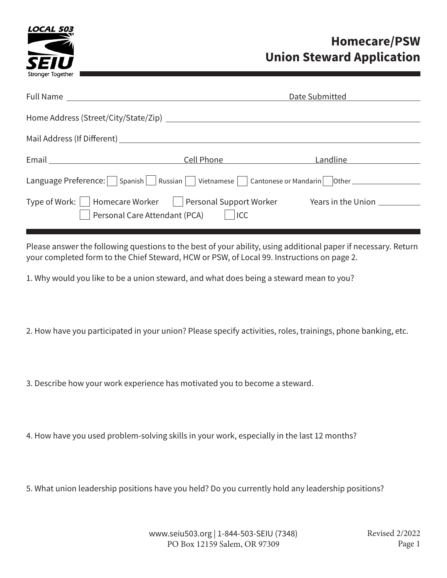

# **Homecare/PSW Union Steward Application**

|                                                                                                         |            | Date Submitted     |  |
|---------------------------------------------------------------------------------------------------------|------------|--------------------|--|
| Home Address (Street/City/State/Zip)                                                                    |            |                    |  |
|                                                                                                         |            |                    |  |
| Email <u>_______________________</u>                                                                    | Cell Phone | Landline           |  |
| Language Preference:   Spanish   Russian   Vietnamese   Cantonese or Mandarin   Other _________         |            |                    |  |
| Type of Work:     Homecare Worker       Personal Support Worker<br>Personal Care Attendant (PCA)    ICC |            | Years in the Union |  |
|                                                                                                         |            |                    |  |

Please answer the following questions to the best of your ability, using additional paper if necessary. Return your completed form to the Chief Steward, HCW or PSW, of Local 99. Instructions on page 2.

1. Why would you like to be a union steward, and what does being a steward mean to you?

2. How have you participated in your union? Please specify activities, roles, trainings, phone banking, etc.

3. Describe how your work experience has motivated you to become a steward.

4. How have you used problem-solving skills in your work, especially in the last 12 months?

5. What union leadership positions have you held? Do you currently hold any leadership positions?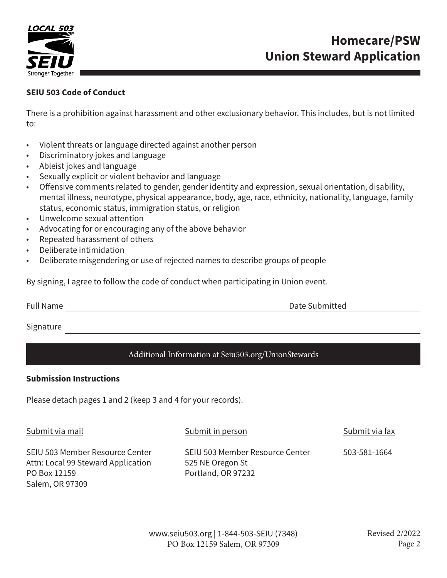

# **Homecare/PSW Union Steward Application**

## **SEIU 503 Code of Conduct**

There is a prohibition against harassment and other exclusionary behavior. This includes, but is not limited to:

- Violent threats or language directed against another person
- Discriminatory jokes and language
- Ableist jokes and language
- Sexually explicit or violent behavior and language
- Offensive comments related to gender, gender identity and expression, sexual orientation, disability, mental illness, neurotype, physical appearance, body, age, race, ethnicity, nationality, language, family status, economic status, immigration status, or religion
- Unwelcome sexual attention
- Advocating for or encouraging any of the above behavior
- Repeated harassment of others
- Deliberate intimidation
- Deliberate misgendering or use of rejected names to describe groups of people

By signing, I agree to follow the code of conduct when participating in Union event.

Full Name **Date Submitted** 

Signature

## Additional Information at Seiu503.org/UnionStewards

### **Submission Instructions**

Please detach pages 1 and 2 (keep 3 and 4 for your records).

Submit via mail

Submit in person

Submit via fax

SEIU 503 Member Resource Center Attn: Local 99 Steward Application PO Box 12159 Salem, OR 97309

SEIU 503 Member Resource Center 525 NE Oregon St Portland, OR 97232 503-581-1664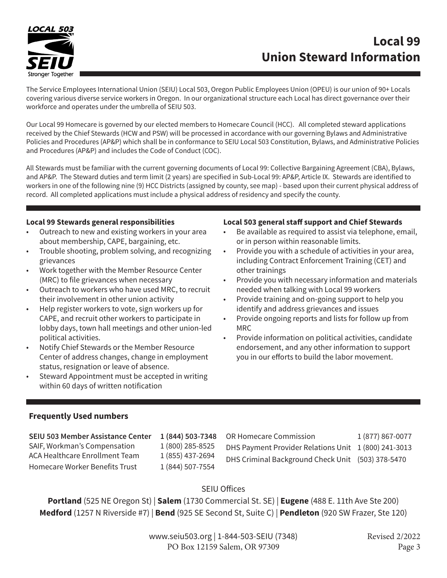

# **Local 99 Union Steward Information**

The Service Employees International Union (SEIU) Local 503, Oregon Public Employees Union (OPEU) is our union of 90+ Locals covering various diverse service workers in Oregon. In our organizational structure each Local has direct governance over their workforce and operates under the umbrella of SEIU 503.

Our Local 99 Homecare is governed by our elected members to Homecare Council (HCC). All completed steward applications received by the Chief Stewards (HCW and PSW) will be processed in accordance with our governing Bylaws and Administrative Policies and Procedures (AP&P) which shall be in conformance to SEIU Local 503 Constitution, Bylaws, and Administrative Policies and Procedures (AP&P) and includes the Code of Conduct (COC).

All Stewards must be familiar with the current governing documents of Local 99: Collective Bargaining Agreement (CBA), Bylaws, and AP&P. The Steward duties and term limit (2 years) are specified in Sub-Local 99: AP&P, Article IX. Stewards are identified to workers in one of the following nine (9) HCC Districts (assigned by county, see map) - based upon their current physical address of record. All completed applications must include a physical address of residency and specify the county.

#### **Local 99 Stewards general responsibilities**

- Outreach to new and existing workers in your area about membership, CAPE, bargaining, etc.
- Trouble shooting, problem solving, and recognizing grievances
- Work together with the Member Resource Center (MRC) to file grievances when necessary
- Outreach to workers who have used MRC, to recruit their involvement in other union activity
- Help register workers to vote, sign workers up for CAPE, and recruit other workers to participate in lobby days, town hall meetings and other union-led political activities.
- Notify Chief Stewards or the Member Resource Center of address changes, change in employment status, resignation or leave of absence.
- Steward Appointment must be accepted in writing within 60 days of written notification

#### **Local 503 general staff support and Chief Stewards**

- Be available as required to assist via telephone, email, or in person within reasonable limits.
- Provide you with a schedule of activities in your area, including Contract Enforcement Training (CET) and other trainings
- Provide you with necessary information and materials needed when talking with Local 99 workers
- Provide training and on-going support to help you identify and address grievances and issues
- Provide ongoing reports and lists for follow up from MRC
- Provide information on political activities, candidate endorsement, and any other information to support you in our efforts to build the labor movement.

### **Frequently Used numbers**

| SEIU 503 Member Assistance Center<br>1 (844) 503-7348<br>SAIF, Workman's Compensation<br>1 (800) 285-8525<br>ACA Healthcare Enrollment Team<br>1 (855) 437-2694<br>1 (844) 507-7554<br>Homecare Worker Benefits Trust | 1 (877) 867-0077<br><b>OR Homecare Commission</b><br>DHS Payment Provider Relations Unit 1 (800) 241-3013<br>DHS Criminal Background Check Unit (503) 378-5470 |
|-----------------------------------------------------------------------------------------------------------------------------------------------------------------------------------------------------------------------|----------------------------------------------------------------------------------------------------------------------------------------------------------------|
|-----------------------------------------------------------------------------------------------------------------------------------------------------------------------------------------------------------------------|----------------------------------------------------------------------------------------------------------------------------------------------------------------|

### SEIU Offices

**Portland** (525 NE Oregon St) | **Salem** (1730 Commercial St. SE) | **Eugene** (488 E. 11th Ave Ste 200) **Medford** (1257 N Riverside #7) | **Bend** (925 SE Second St, Suite C) | **Pendleton** (920 SW Frazer, Ste 120)

> www.seiu503.org | 1-844-503-SEIU (7348) PO Box 12159 Salem, OR 97309

Revised 2/2022 Page 3